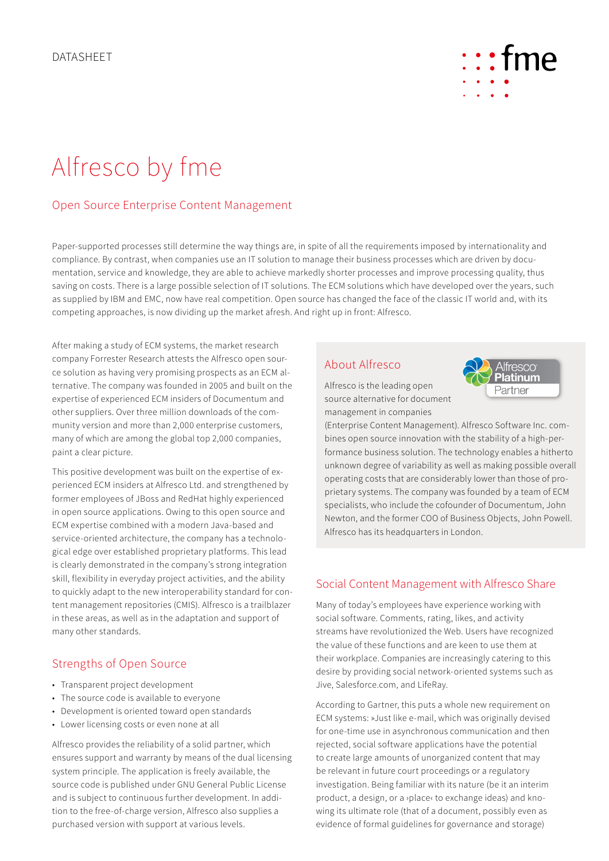

# Alfresco by fme

## Open Source Enterprise Content Management

Paper-supported processes still determine the way things are, in spite of all the requirements imposed by internationality and compliance. By contrast, when companies use an IT solution to manage their business processes which are driven by documentation, service and knowledge, they are able to achieve markedly shorter processes and improve processing quality, thus saving on costs. There is a large possible selection of IT solutions. The ECM solutions which have developed over the years, such as supplied by IBM and EMC, now have real competition. Open source has changed the face of the classic IT world and, with its competing approaches, is now dividing up the market afresh. And right up in front: Alfresco.

After making a study of ECM systems, the market research company Forrester Research attests the Alfresco open source solution as having very promising prospects as an ECM alternative. The company was founded in 2005 and built on the expertise of experienced ECM insiders of Documentum and other suppliers. Over three million downloads of the community version and more than 2,000 enterprise customers, many of which are among the global top 2,000 companies, paint a clear picture.

This positive development was built on the expertise of experienced ECM insiders at Alfresco Ltd. and strengthened by former employees of JBoss and RedHat highly experienced in open source applications. Owing to this open source and ECM expertise combined with a modern Java-based and service-oriented architecture, the company has a technological edge over established proprietary platforms. This lead is clearly demonstrated in the company's strong integration skill, flexibility in everyday project activities, and the ability to quickly adapt to the new interoperability standard for content management repositories (CMIS). Alfresco is a trailblazer in these areas, as well as in the adaptation and support of many other standards.

## Strengths of Open Source

- Transparent project development
- The source code is available to everyone
- Development is oriented toward open standards
- Lower licensing costs or even none at all

Alfresco provides the reliability of a solid partner, which ensures support and warranty by means of the dual licensing system principle. The application is freely available, the source code is published under GNU General Public License and is subject to continuous further development. In addition to the free-of-charge version, Alfresco also supplies a purchased version with support at various levels.

## About Alfresco



Alfresco is the leading open source alternative for document management in companies

(Enterprise Content Management). Alfresco Software Inc. combines open source innovation with the stability of a high-performance business solution. The technology enables a hitherto unknown degree of variability as well as making possible overall operating costs that are considerably lower than those of proprietary systems. The company was founded by a team of ECM specialists, who include the cofounder of Documentum, John Newton, and the former COO of Business Objects, John Powell. Alfresco has its headquarters in London.

#### Social Content Management with Alfresco Share

Many of today's employees have experience working with social software. Comments, rating, likes, and activity streams have revolutionized the Web. Users have recognized the value of these functions and are keen to use them at their workplace. Companies are increasingly catering to this desire by providing social network-oriented systems such as Jive, Salesforce.com, and LifeRay.

According to Gartner, this puts a whole new requirement on ECM systems: »Just like e-mail, which was originally devised for one-time use in asynchronous communication and then rejected, social software applications have the potential to create large amounts of unorganized content that may be relevant in future court proceedings or a regulatory investigation. Being familiar with its nature (be it an interim product, a design, or a ›place‹ to exchange ideas) and knowing its ultimate role (that of a document, possibly even as evidence of formal guidelines for governance and storage)